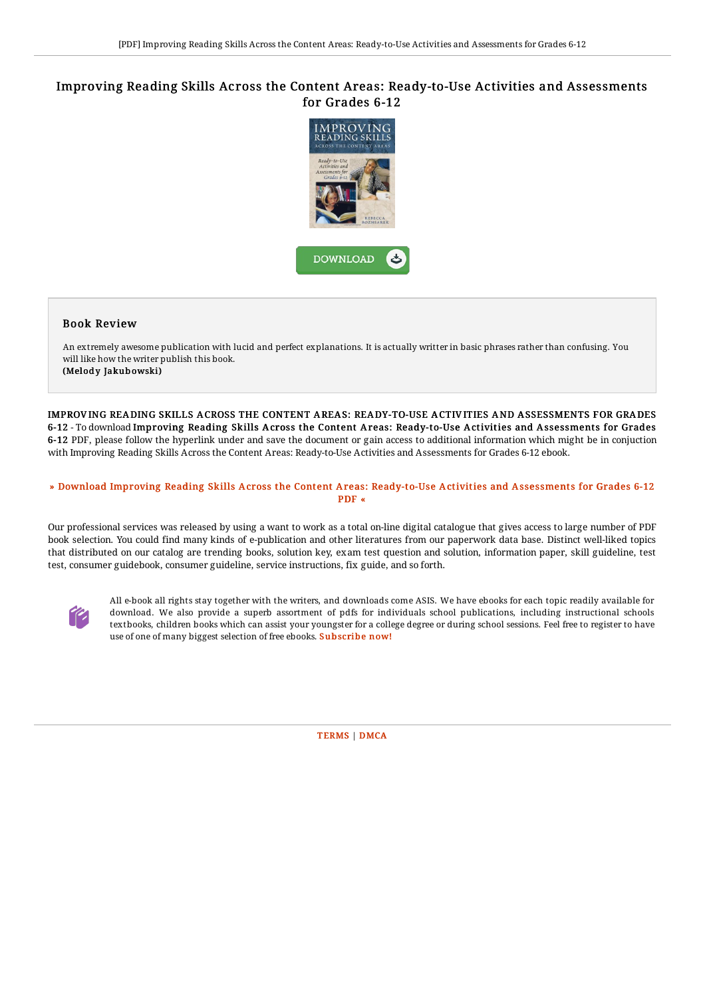## Improving Reading Skills Across the Content Areas: Ready-to-Use Activities and Assessments for Grades 6-12



## Book Review

An extremely awesome publication with lucid and perfect explanations. It is actually writter in basic phrases rather than confusing. You will like how the writer publish this book. (Melody Jakubowski)

IMPROVING READING SKILLS ACROSS THE CONTENT AREAS: READY-TO-USE ACTIVITIES AND ASSESSMENTS FOR GRADES 6-12 - To download Improving Reading Skills Across the Content Areas: Ready-to-Use Activities and Assessments for Grades 6-12 PDF, please follow the hyperlink under and save the document or gain access to additional information which might be in conjuction with Improving Reading Skills Across the Content Areas: Ready-to-Use Activities and Assessments for Grades 6-12 ebook.

## » Download Improving Reading Skills Across the Content Areas: [Ready-to-Use](http://digilib.live/improving-reading-skills-across-the-content-area.html) Activities and Assessments for Grades 6-12 PDF «

Our professional services was released by using a want to work as a total on-line digital catalogue that gives access to large number of PDF book selection. You could find many kinds of e-publication and other literatures from our paperwork data base. Distinct well-liked topics that distributed on our catalog are trending books, solution key, exam test question and solution, information paper, skill guideline, test test, consumer guidebook, consumer guideline, service instructions, fix guide, and so forth.



All e-book all rights stay together with the writers, and downloads come ASIS. We have ebooks for each topic readily available for download. We also provide a superb assortment of pdfs for individuals school publications, including instructional schools textbooks, children books which can assist your youngster for a college degree or during school sessions. Feel free to register to have use of one of many biggest selection of free ebooks. [Subscribe](http://digilib.live/improving-reading-skills-across-the-content-area.html) now!